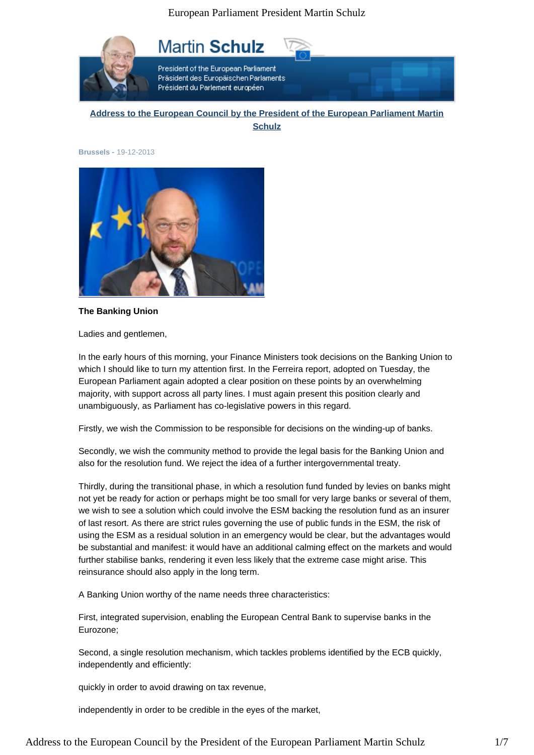

President of the European Parliament Präsident des Europäischen Parlaments Président du Parlement européen.

**Martin Schulz** 

**Address to the European Council by the President of the European Parliament Martin Schulz**

**Brussels -** 19-12-2013



**The Banking Union**

Ladies and gentlemen,

In the early hours of this morning, your Finance Ministers took decisions on the Banking Union to which I should like to turn my attention first. In the Ferreira report, adopted on Tuesday, the European Parliament again adopted a clear position on these points by an overwhelming majority, with support across all party lines. I must again present this position clearly and unambiguously, as Parliament has co-legislative powers in this regard.

Firstly, we wish the Commission to be responsible for decisions on the winding-up of banks.

Secondly, we wish the community method to provide the legal basis for the Banking Union and also for the resolution fund. We reject the idea of a further intergovernmental treaty.

Thirdly, during the transitional phase, in which a resolution fund funded by levies on banks might not yet be ready for action or perhaps might be too small for very large banks or several of them, we wish to see a solution which could involve the ESM backing the resolution fund as an insurer of last resort. As there are strict rules governing the use of public funds in the ESM, the risk of using the ESM as a residual solution in an emergency would be clear, but the advantages would be substantial and manifest: it would have an additional calming effect on the markets and would further stabilise banks, rendering it even less likely that the extreme case might arise. This reinsurance should also apply in the long term.

A Banking Union worthy of the name needs three characteristics:

First, integrated supervision, enabling the European Central Bank to supervise banks in the Eurozone;

Second, a single resolution mechanism, which tackles problems identified by the ECB quickly, independently and efficiently:

quickly in order to avoid drawing on tax revenue,

independently in order to be credible in the eyes of the market,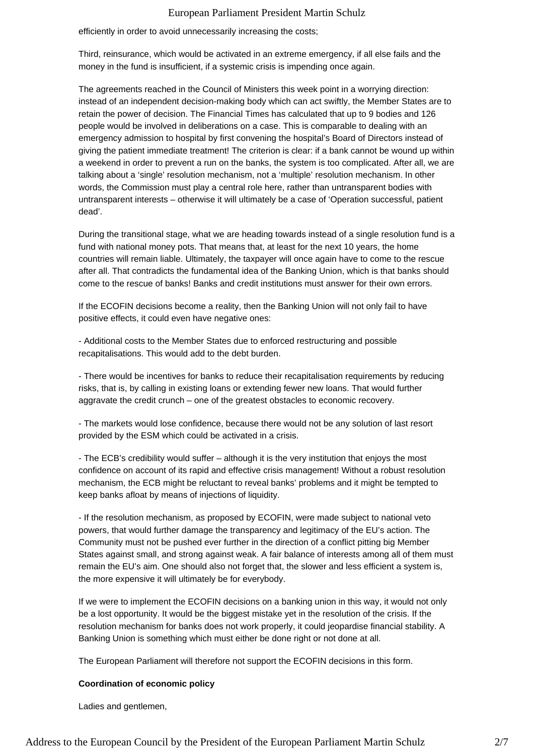efficiently in order to avoid unnecessarily increasing the costs;

Third, reinsurance, which would be activated in an extreme emergency, if all else fails and the money in the fund is insufficient, if a systemic crisis is impending once again.

The agreements reached in the Council of Ministers this week point in a worrying direction: instead of an independent decision-making body which can act swiftly, the Member States are to retain the power of decision. The Financial Times has calculated that up to 9 bodies and 126 people would be involved in deliberations on a case. This is comparable to dealing with an emergency admission to hospital by first convening the hospital's Board of Directors instead of giving the patient immediate treatment! The criterion is clear: if a bank cannot be wound up within a weekend in order to prevent a run on the banks, the system is too complicated. After all, we are talking about a 'single' resolution mechanism, not a 'multiple' resolution mechanism. In other words, the Commission must play a central role here, rather than untransparent bodies with untransparent interests – otherwise it will ultimately be a case of 'Operation successful, patient dead'.

During the transitional stage, what we are heading towards instead of a single resolution fund is a fund with national money pots. That means that, at least for the next 10 years, the home countries will remain liable. Ultimately, the taxpayer will once again have to come to the rescue after all. That contradicts the fundamental idea of the Banking Union, which is that banks should come to the rescue of banks! Banks and credit institutions must answer for their own errors.

If the ECOFIN decisions become a reality, then the Banking Union will not only fail to have positive effects, it could even have negative ones:

- Additional costs to the Member States due to enforced restructuring and possible recapitalisations. This would add to the debt burden.

- There would be incentives for banks to reduce their recapitalisation requirements by reducing risks, that is, by calling in existing loans or extending fewer new loans. That would further aggravate the credit crunch – one of the greatest obstacles to economic recovery.

- The markets would lose confidence, because there would not be any solution of last resort provided by the ESM which could be activated in a crisis.

- The ECB's credibility would suffer – although it is the very institution that enjoys the most confidence on account of its rapid and effective crisis management! Without a robust resolution mechanism, the ECB might be reluctant to reveal banks' problems and it might be tempted to keep banks afloat by means of injections of liquidity.

- If the resolution mechanism, as proposed by ECOFIN, were made subject to national veto powers, that would further damage the transparency and legitimacy of the EU's action. The Community must not be pushed ever further in the direction of a conflict pitting big Member States against small, and strong against weak. A fair balance of interests among all of them must remain the EU's aim. One should also not forget that, the slower and less efficient a system is, the more expensive it will ultimately be for everybody.

If we were to implement the ECOFIN decisions on a banking union in this way, it would not only be a lost opportunity. It would be the biggest mistake yet in the resolution of the crisis. If the resolution mechanism for banks does not work properly, it could jeopardise financial stability. A Banking Union is something which must either be done right or not done at all.

The European Parliament will therefore not support the ECOFIN decisions in this form.

#### **Coordination of economic policy**

Ladies and gentlemen,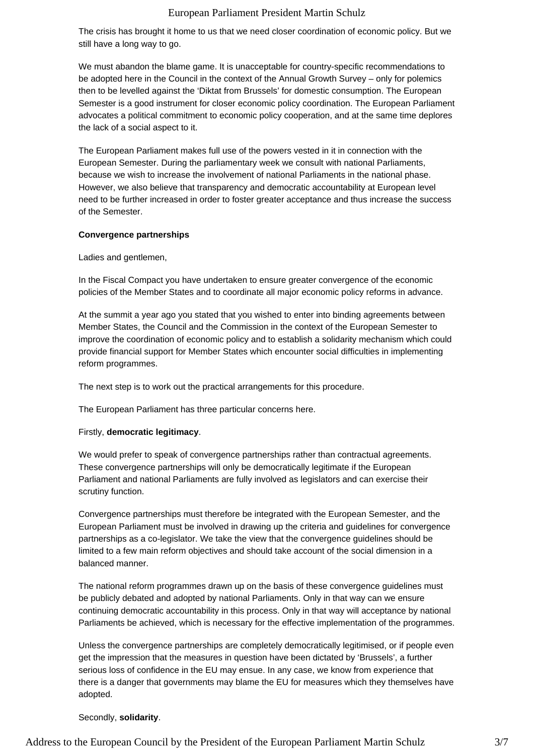The crisis has brought it home to us that we need closer coordination of economic policy. But we still have a long way to go.

We must abandon the blame game. It is unacceptable for country-specific recommendations to be adopted here in the Council in the context of the Annual Growth Survey – only for polemics then to be levelled against the 'Diktat from Brussels' for domestic consumption. The European Semester is a good instrument for closer economic policy coordination. The European Parliament advocates a political commitment to economic policy cooperation, and at the same time deplores the lack of a social aspect to it.

The European Parliament makes full use of the powers vested in it in connection with the European Semester. During the parliamentary week we consult with national Parliaments, because we wish to increase the involvement of national Parliaments in the national phase. However, we also believe that transparency and democratic accountability at European level need to be further increased in order to foster greater acceptance and thus increase the success of the Semester.

### **Convergence partnerships**

Ladies and gentlemen,

In the Fiscal Compact you have undertaken to ensure greater convergence of the economic policies of the Member States and to coordinate all major economic policy reforms in advance.

At the summit a year ago you stated that you wished to enter into binding agreements between Member States, the Council and the Commission in the context of the European Semester to improve the coordination of economic policy and to establish a solidarity mechanism which could provide financial support for Member States which encounter social difficulties in implementing reform programmes.

The next step is to work out the practical arrangements for this procedure.

The European Parliament has three particular concerns here.

#### Firstly, **democratic legitimacy**.

We would prefer to speak of convergence partnerships rather than contractual agreements. These convergence partnerships will only be democratically legitimate if the European Parliament and national Parliaments are fully involved as legislators and can exercise their scrutiny function.

Convergence partnerships must therefore be integrated with the European Semester, and the European Parliament must be involved in drawing up the criteria and guidelines for convergence partnerships as a co-legislator. We take the view that the convergence guidelines should be limited to a few main reform objectives and should take account of the social dimension in a balanced manner.

The national reform programmes drawn up on the basis of these convergence guidelines must be publicly debated and adopted by national Parliaments. Only in that way can we ensure continuing democratic accountability in this process. Only in that way will acceptance by national Parliaments be achieved, which is necessary for the effective implementation of the programmes.

Unless the convergence partnerships are completely democratically legitimised, or if people even get the impression that the measures in question have been dictated by 'Brussels', a further serious loss of confidence in the EU may ensue. In any case, we know from experience that there is a danger that governments may blame the EU for measures which they themselves have adopted.

# Secondly, **solidarity**.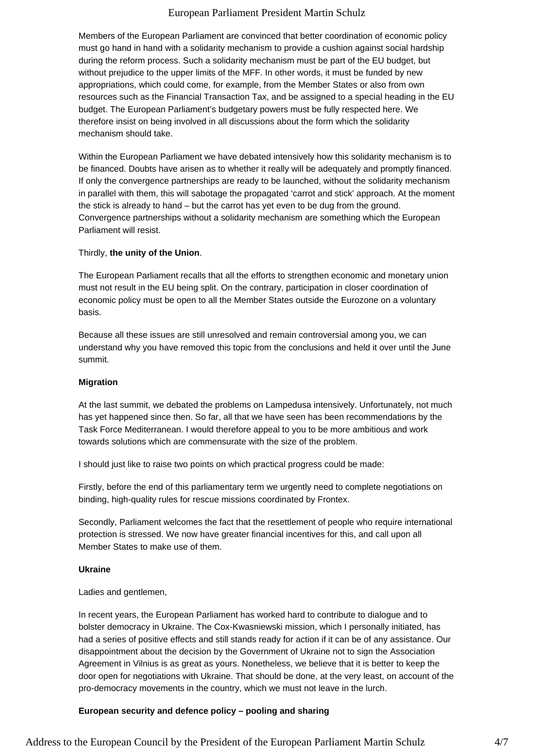Members of the European Parliament are convinced that better coordination of economic policy must go hand in hand with a solidarity mechanism to provide a cushion against social hardship during the reform process. Such a solidarity mechanism must be part of the EU budget, but without prejudice to the upper limits of the MFF. In other words, it must be funded by new appropriations, which could come, for example, from the Member States or also from own resources such as the Financial Transaction Tax, and be assigned to a special heading in the EU budget. The European Parliament's budgetary powers must be fully respected here. We therefore insist on being involved in all discussions about the form which the solidarity mechanism should take.

Within the European Parliament we have debated intensively how this solidarity mechanism is to be financed. Doubts have arisen as to whether it really will be adequately and promptly financed. If only the convergence partnerships are ready to be launched, without the solidarity mechanism in parallel with them, this will sabotage the propagated 'carrot and stick' approach. At the moment the stick is already to hand – but the carrot has yet even to be dug from the ground. Convergence partnerships without a solidarity mechanism are something which the European Parliament will resist.

### Thirdly, **the unity of the Union**.

The European Parliament recalls that all the efforts to strengthen economic and monetary union must not result in the EU being split. On the contrary, participation in closer coordination of economic policy must be open to all the Member States outside the Eurozone on a voluntary basis.

Because all these issues are still unresolved and remain controversial among you, we can understand why you have removed this topic from the conclusions and held it over until the June summit.

## **Migration**

At the last summit, we debated the problems on Lampedusa intensively. Unfortunately, not much has yet happened since then. So far, all that we have seen has been recommendations by the Task Force Mediterranean. I would therefore appeal to you to be more ambitious and work towards solutions which are commensurate with the size of the problem.

I should just like to raise two points on which practical progress could be made:

Firstly, before the end of this parliamentary term we urgently need to complete negotiations on binding, high-quality rules for rescue missions coordinated by Frontex.

Secondly, Parliament welcomes the fact that the resettlement of people who require international protection is stressed. We now have greater financial incentives for this, and call upon all Member States to make use of them.

#### **Ukraine**

Ladies and gentlemen,

In recent years, the European Parliament has worked hard to contribute to dialogue and to bolster democracy in Ukraine. The Cox-Kwasniewski mission, which I personally initiated, has had a series of positive effects and still stands ready for action if it can be of any assistance. Our disappointment about the decision by the Government of Ukraine not to sign the Association Agreement in Vilnius is as great as yours. Nonetheless, we believe that it is better to keep the door open for negotiations with Ukraine. That should be done, at the very least, on account of the pro-democracy movements in the country, which we must not leave in the lurch.

# **European security and defence policy – pooling and sharing**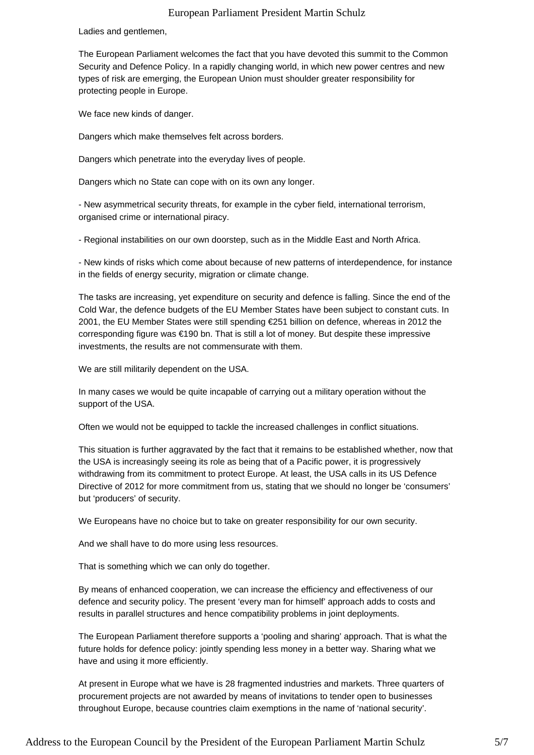Ladies and gentlemen,

The European Parliament welcomes the fact that you have devoted this summit to the Common Security and Defence Policy. In a rapidly changing world, in which new power centres and new types of risk are emerging, the European Union must shoulder greater responsibility for protecting people in Europe.

We face new kinds of danger.

Dangers which make themselves felt across borders.

Dangers which penetrate into the everyday lives of people.

Dangers which no State can cope with on its own any longer.

- New asymmetrical security threats, for example in the cyber field, international terrorism, organised crime or international piracy.

- Regional instabilities on our own doorstep, such as in the Middle East and North Africa.

- New kinds of risks which come about because of new patterns of interdependence, for instance in the fields of energy security, migration or climate change.

The tasks are increasing, yet expenditure on security and defence is falling. Since the end of the Cold War, the defence budgets of the EU Member States have been subject to constant cuts. In 2001, the EU Member States were still spending €251 billion on defence, whereas in 2012 the corresponding figure was €190 bn. That is still a lot of money. But despite these impressive investments, the results are not commensurate with them.

We are still militarily dependent on the USA.

In many cases we would be quite incapable of carrying out a military operation without the support of the USA.

Often we would not be equipped to tackle the increased challenges in conflict situations.

This situation is further aggravated by the fact that it remains to be established whether, now that the USA is increasingly seeing its role as being that of a Pacific power, it is progressively withdrawing from its commitment to protect Europe. At least, the USA calls in its US Defence Directive of 2012 for more commitment from us, stating that we should no longer be 'consumers' but 'producers' of security.

We Europeans have no choice but to take on greater responsibility for our own security.

And we shall have to do more using less resources.

That is something which we can only do together.

By means of enhanced cooperation, we can increase the efficiency and effectiveness of our defence and security policy. The present 'every man for himself' approach adds to costs and results in parallel structures and hence compatibility problems in joint deployments.

The European Parliament therefore supports a 'pooling and sharing' approach. That is what the future holds for defence policy: jointly spending less money in a better way. Sharing what we have and using it more efficiently.

At present in Europe what we have is 28 fragmented industries and markets. Three quarters of procurement projects are not awarded by means of invitations to tender open to businesses throughout Europe, because countries claim exemptions in the name of 'national security'.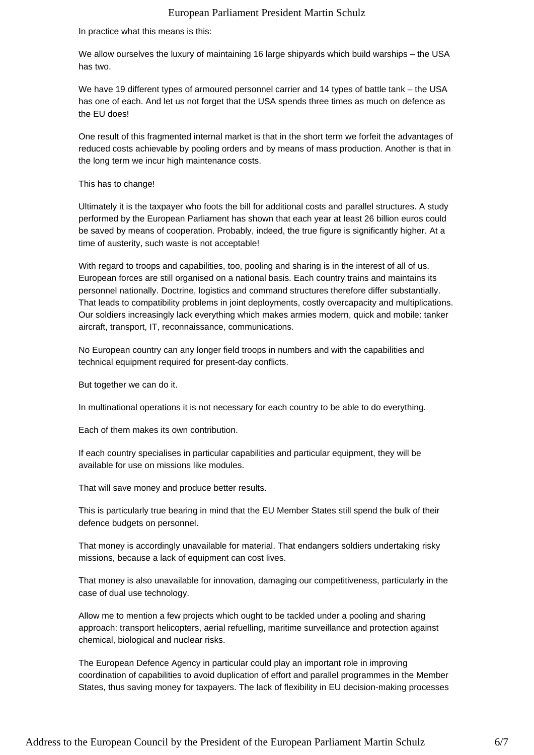In practice what this means is this:

We allow ourselves the luxury of maintaining 16 large shipyards which build warships – the USA has two.

We have 19 different types of armoured personnel carrier and 14 types of battle tank – the USA has one of each. And let us not forget that the USA spends three times as much on defence as the EU does!

One result of this fragmented internal market is that in the short term we forfeit the advantages of reduced costs achievable by pooling orders and by means of mass production. Another is that in the long term we incur high maintenance costs.

#### This has to change!

Ultimately it is the taxpayer who foots the bill for additional costs and parallel structures. A study performed by the European Parliament has shown that each year at least 26 billion euros could be saved by means of cooperation. Probably, indeed, the true figure is significantly higher. At a time of austerity, such waste is not acceptable!

With regard to troops and capabilities, too, pooling and sharing is in the interest of all of us. European forces are still organised on a national basis. Each country trains and maintains its personnel nationally. Doctrine, logistics and command structures therefore differ substantially. That leads to compatibility problems in joint deployments, costly overcapacity and multiplications. Our soldiers increasingly lack everything which makes armies modern, quick and mobile: tanker aircraft, transport, IT, reconnaissance, communications.

No European country can any longer field troops in numbers and with the capabilities and technical equipment required for present-day conflicts.

But together we can do it.

In multinational operations it is not necessary for each country to be able to do everything.

Each of them makes its own contribution.

If each country specialises in particular capabilities and particular equipment, they will be available for use on missions like modules.

That will save money and produce better results.

This is particularly true bearing in mind that the EU Member States still spend the bulk of their defence budgets on personnel.

That money is accordingly unavailable for material. That endangers soldiers undertaking risky missions, because a lack of equipment can cost lives.

That money is also unavailable for innovation, damaging our competitiveness, particularly in the case of dual use technology.

Allow me to mention a few projects which ought to be tackled under a pooling and sharing approach: transport helicopters, aerial refuelling, maritime surveillance and protection against chemical, biological and nuclear risks.

The European Defence Agency in particular could play an important role in improving coordination of capabilities to avoid duplication of effort and parallel programmes in the Member States, thus saving money for taxpayers. The lack of flexibility in EU decision-making processes